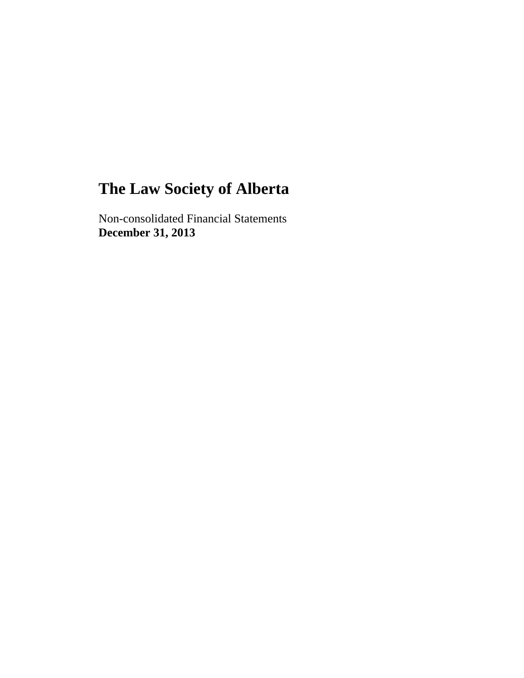Non-consolidated Financial Statements **December 31, 2013**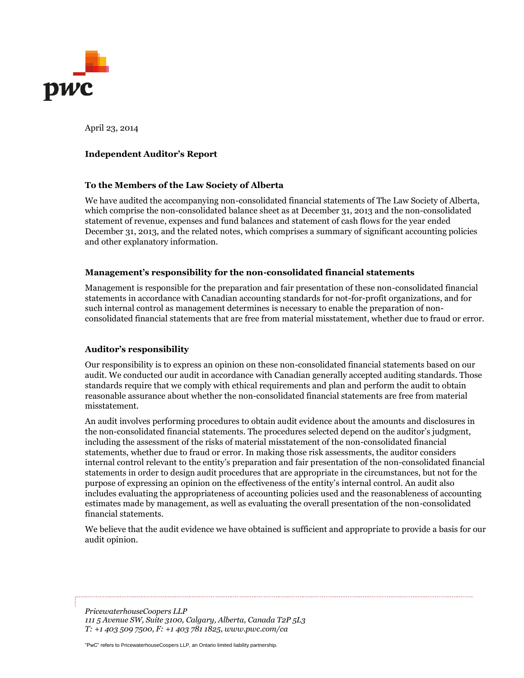

April 23, 2014

#### **Independent Auditor's Report**

#### **To the Members of the Law Society of Alberta**

We have audited the accompanying non-consolidated financial statements of The Law Society of Alberta, which comprise the non-consolidated balance sheet as at December 31, 2013 and the non-consolidated statement of revenue, expenses and fund balances and statement of cash flows for the year ended December 31, 2013, and the related notes, which comprises a summary of significant accounting policies and other explanatory information.

#### **Management's responsibility for the non-consolidated financial statements**

Management is responsible for the preparation and fair presentation of these non-consolidated financial statements in accordance with Canadian accounting standards for not-for-profit organizations, and for such internal control as management determines is necessary to enable the preparation of nonconsolidated financial statements that are free from material misstatement, whether due to fraud or error.

#### **Auditor's responsibility**

Our responsibility is to express an opinion on these non-consolidated financial statements based on our audit. We conducted our audit in accordance with Canadian generally accepted auditing standards. Those standards require that we comply with ethical requirements and plan and perform the audit to obtain reasonable assurance about whether the non-consolidated financial statements are free from material misstatement.

An audit involves performing procedures to obtain audit evidence about the amounts and disclosures in the non-consolidated financial statements. The procedures selected depend on the auditor's judgment, including the assessment of the risks of material misstatement of the non-consolidated financial statements, whether due to fraud or error. In making those risk assessments, the auditor considers internal control relevant to the entity's preparation and fair presentation of the non-consolidated financial statements in order to design audit procedures that are appropriate in the circumstances, but not for the purpose of expressing an opinion on the effectiveness of the entity's internal control. An audit also includes evaluating the appropriateness of accounting policies used and the reasonableness of accounting estimates made by management, as well as evaluating the overall presentation of the non-consolidated financial statements.

We believe that the audit evidence we have obtained is sufficient and appropriate to provide a basis for our audit opinion.

*PricewaterhouseCoopers LLP 111 5 Avenue SW, Suite 3100, Calgary, Alberta, Canada T2P 5L3 T: +1 403 509 7500, F: +1 403 781 1825, www.pwc.com/ca*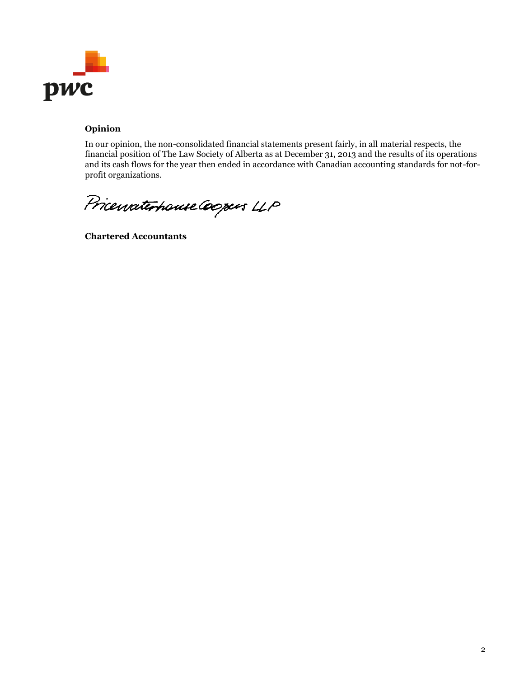

# **Opinion**

In our opinion, the non-consolidated financial statements present fairly, in all material respects, the financial position of The Law Society of Alberta as at December 31, 2013 and the results of its operations and its cash flows for the year then ended in accordance with Canadian accounting standards for not-forprofit organizations.

Pricewaterhouse Coopers LLP

**Chartered Accountants**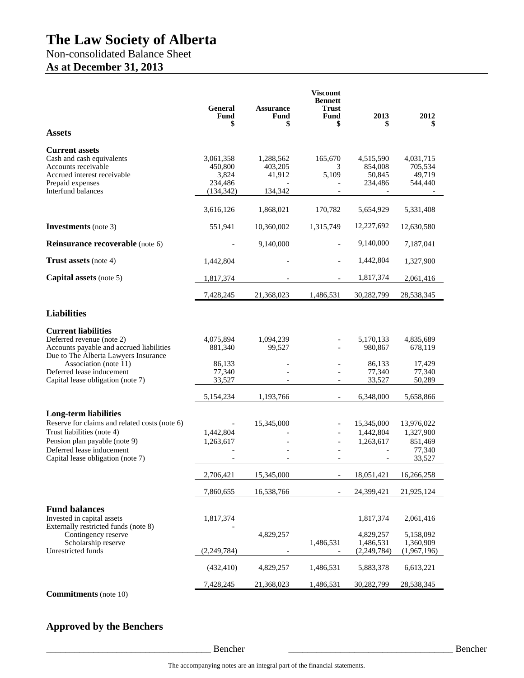# Non-consolidated Balance Sheet

# **As at December 31, 2013**

| General<br>Fund<br>\$                                  | <b>Assurance</b><br>Fund<br>\$            | <b>Viscount</b><br><b>Bennett</b><br>Trust<br>Fund<br>\$ | 2013<br>S                                          | 2012                                                   |
|--------------------------------------------------------|-------------------------------------------|----------------------------------------------------------|----------------------------------------------------|--------------------------------------------------------|
|                                                        |                                           |                                                          |                                                    |                                                        |
| 3,061,358<br>450,800<br>3,824<br>234,486<br>(134, 342) | 1,288,562<br>403,205<br>41,912<br>134,342 | 165,670<br>3<br>5,109                                    | 4,515,590<br>854,008<br>50,845<br>234,486          | 4,031,715<br>705,534<br>49.719<br>544,440              |
| 3,616,126                                              | 1,868,021                                 | 170,782                                                  | 5,654,929                                          | 5,331,408                                              |
| 551,941                                                | 10,360,002                                | 1,315,749                                                | 12,227,692                                         | 12,630,580                                             |
|                                                        | 9,140,000                                 |                                                          | 9,140,000                                          | 7,187,041                                              |
| 1,442,804                                              |                                           |                                                          | 1,442,804                                          | 1,327,900                                              |
| 1,817,374                                              |                                           |                                                          | 1,817,374                                          | 2,061,416                                              |
| 7,428,245                                              | 21,368,023                                | 1,486,531                                                | 30,282,799                                         | 28,538,345                                             |
|                                                        |                                           |                                                          |                                                    |                                                        |
| 4,075,894<br>881,340<br>86,133<br>77,340<br>33,527     | 1,094,239<br>99,527                       |                                                          | 5,170,133<br>980,867<br>86,133<br>77,340<br>33,527 | 4,835,689<br>678,119<br>17,429<br>77,340<br>50,289     |
| 5,154,234                                              | 1,193,766                                 |                                                          | 6,348,000                                          | 5,658,866                                              |
| 1,442,804<br>1,263,617                                 | 15,345,000                                |                                                          | 15,345,000<br>1,442,804<br>1,263,617               | 13,976,022<br>1,327,900<br>851,469<br>77,340<br>33,527 |
| 2,706,421                                              | 15,345,000                                |                                                          | 18,051,421                                         | 16,266,258                                             |
| 7,860,655                                              | 16,538,766                                |                                                          | 24,399,421                                         | 21,925,124                                             |
| 1,817,374                                              | 4,829,257                                 | 1,486,531                                                | 1,817,374<br>4,829,257<br>1,486,531                | 2,061,416<br>5,158,092<br>1,360,909<br>(1,967,196)     |
| (432, 410)                                             | 4,829,257                                 | 1,486,531                                                | 5,883,378                                          | 6,613,221                                              |
| 7,428,245                                              | 21,368,023                                | 1,486,531                                                | 30,282,799                                         | 28,538,345                                             |
|                                                        | (2, 249, 784)                             |                                                          |                                                    | (2, 249, 784)                                          |

**Approved by the Benchers** 

\_\_\_\_\_\_\_\_\_\_\_\_\_\_\_\_\_\_\_\_\_\_\_\_\_\_\_\_\_\_\_\_\_\_\_ Bencher \_\_\_\_\_\_\_\_\_\_\_\_\_\_\_\_\_\_\_\_\_\_\_\_\_\_\_\_\_\_\_\_\_\_\_ Bencher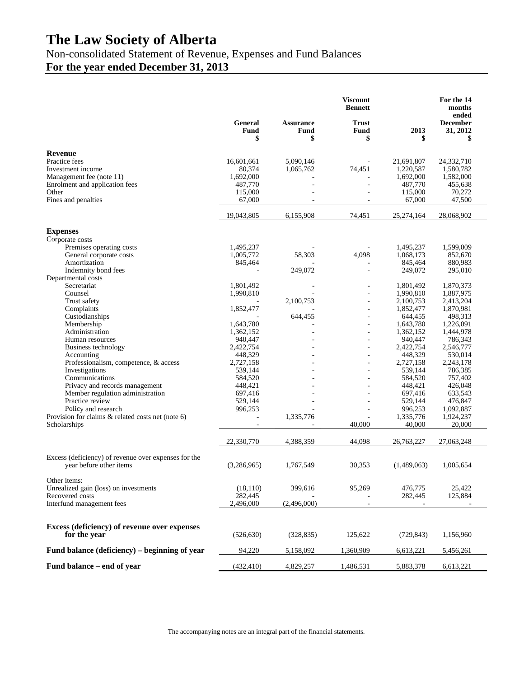Non-consolidated Statement of Revenue, Expenses and Fund Balances

**For the year ended December 31, 2013** 

|                                                                                 |                       |                                | <b>Viscount</b><br><b>Bennett</b> |                      | For the 14<br>months<br>ended     |
|---------------------------------------------------------------------------------|-----------------------|--------------------------------|-----------------------------------|----------------------|-----------------------------------|
|                                                                                 | General<br>Fund<br>\$ | <b>Assurance</b><br>Fund<br>\$ | <b>Trust</b><br>Fund<br>\$        | 2013<br>\$           | <b>December</b><br>31, 2012<br>\$ |
| <b>Revenue</b>                                                                  |                       |                                |                                   |                      |                                   |
| Practice fees                                                                   | 16,601,661            | 5,090,146                      |                                   | 21,691,807           | 24,332,710                        |
| Investment income                                                               | 80,374                | 1,065,762                      | 74,451                            | 1,220,587            | 1,580,782                         |
| Management fee (note 11)                                                        | 1,692,000             |                                |                                   | 1,692,000            | 1,582,000                         |
| Enrolment and application fees                                                  | 487,770               | $\blacksquare$                 | $\overline{a}$                    | 487,770              | 455,638                           |
| Other                                                                           | 115,000               | $\overline{a}$                 |                                   | 115,000              | 70,272                            |
| Fines and penalties                                                             | 67,000                |                                |                                   | 67,000               | 47,500                            |
|                                                                                 | 19,043,805            | 6,155,908                      | 74,451                            | 25,274,164           | 28,068,902                        |
| <b>Expenses</b>                                                                 |                       |                                |                                   |                      |                                   |
| Corporate costs                                                                 |                       |                                |                                   |                      |                                   |
| Premises operating costs                                                        | 1,495,237             |                                |                                   | 1,495,237            | 1,599,009                         |
| General corporate costs                                                         | 1,005,772             | 58,303                         | 4,098                             | 1,068,173            | 852,670                           |
| Amortization                                                                    | 845,464               |                                |                                   | 845,464              | 880,983                           |
| Indemnity bond fees                                                             |                       | 249,072                        |                                   | 249,072              | 295,010                           |
| Departmental costs<br>Secretariat                                               | 1,801,492             |                                |                                   | 1,801,492            | 1,870,373                         |
| Counsel                                                                         | 1,990,810             |                                |                                   | 1,990,810            | 1,887,975                         |
| Trust safety                                                                    |                       | 2,100,753                      |                                   | 2,100,753            | 2,413,204                         |
| Complaints                                                                      | 1,852,477             |                                | $\bar{a}$                         | 1,852,477            | 1,870,981                         |
| Custodianships                                                                  |                       | 644,455                        |                                   | 644,455              | 498,313                           |
| Membership                                                                      | 1,643,780             |                                | ÷,                                | 1,643,780            | 1,226,091                         |
| Administration                                                                  | 1,362,152             |                                | ä,                                | 1,362,152            | 1,444,978                         |
| Human resources                                                                 | 940,447               |                                | ÷,                                | 940,447              | 786,343                           |
| Business technology                                                             | 2,422,754             |                                |                                   | 2,422,754            | 2,546,777                         |
| Accounting<br>Professionalism, competence, & access                             | 448,329<br>2,727,158  |                                | ä,                                | 448,329<br>2,727,158 | 530,014<br>2,243,178              |
| Investigations                                                                  | 539,144               |                                |                                   | 539,144              | 786,385                           |
| Communications                                                                  | 584,520               |                                |                                   | 584,520              | 757,402                           |
| Privacy and records management                                                  | 448,421               |                                |                                   | 448,421              | 426,048                           |
| Member regulation administration                                                | 697,416               |                                |                                   | 697,416              | 633,543                           |
| Practice review                                                                 | 529,144               | $\sim$                         |                                   | 529,144              | 476,847                           |
| Policy and research                                                             | 996,253               |                                |                                   | 996,253              | 1,092,887                         |
| Provision for claims & related costs net (note 6)                               |                       | 1,335,776                      | ä,                                | 1,335,776            | 1,924,237                         |
| Scholarships                                                                    |                       |                                | 40,000                            | 40,000               | 20,000                            |
|                                                                                 | 22,330,770            | 4,388,359                      | 44,098                            | 26,763,227           | 27,063,248                        |
| Excess (deficiency) of revenue over expenses for the<br>year before other items | (3,286,965)           | 1,767,549                      | 30,353                            | (1,489,063)          | 1,005,654                         |
| Other items:                                                                    |                       |                                |                                   |                      |                                   |
| Unrealized gain (loss) on investments                                           | (18, 110)             | 399,616                        | 95,269                            | 476,775              | 25,422                            |
| Recovered costs                                                                 | 282,445               |                                |                                   | 282,445              | 125,884                           |
| Interfund management fees                                                       | 2,496,000             | (2,496,000)                    |                                   |                      |                                   |
|                                                                                 |                       |                                |                                   |                      |                                   |
| Excess (deficiency) of revenue over expenses<br>for the year                    | (526, 630)            | (328, 835)                     | 125,622                           | (729, 843)           | 1,156,960                         |
| Fund balance (deficiency) – beginning of year                                   | 94,220                | 5,158,092                      | 1,360,909                         | 6,613,221            | 5,456,261                         |
| Fund balance – end of year                                                      | (432, 410)            | 4,829,257                      | 1,486,531                         | 5,883,378            | 6,613,221                         |

The accompanying notes are an integral part of the financial statements.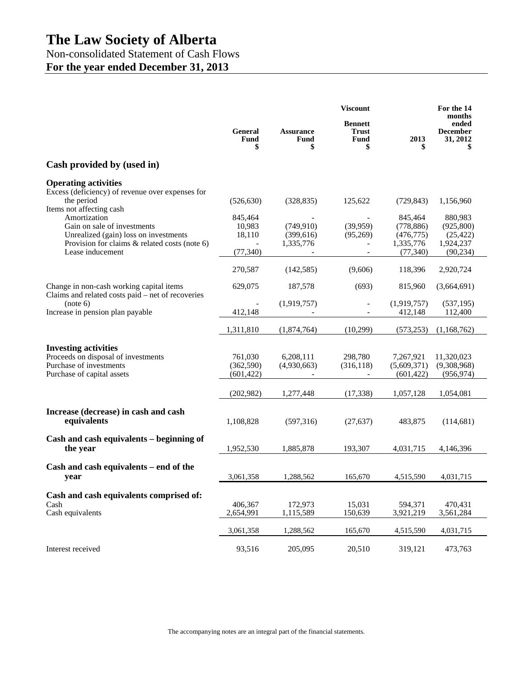Non-consolidated Statement of Cash Flows **For the year ended December 31, 2013** 

|                                                                                               |                       | <b>Viscount</b>                |                                                     | For the 14<br>months     |                                      |
|-----------------------------------------------------------------------------------------------|-----------------------|--------------------------------|-----------------------------------------------------|--------------------------|--------------------------------------|
|                                                                                               | General<br>Fund<br>\$ | <b>Assurance</b><br>Fund<br>\$ | <b>Bennett</b><br><b>Trust</b><br><b>Fund</b><br>\$ | 2013                     | ended<br><b>December</b><br>31, 2012 |
| Cash provided by (used in)                                                                    |                       |                                |                                                     |                          |                                      |
| <b>Operating activities</b>                                                                   |                       |                                |                                                     |                          |                                      |
| Excess (deficiency) of revenue over expenses for<br>the period                                | (526, 630)            | (328, 835)                     | 125,622                                             | (729, 843)               | 1,156,960                            |
| Items not affecting cash                                                                      |                       |                                |                                                     |                          |                                      |
| Amortization<br>Gain on sale of investments                                                   | 845,464               | (749, 910)                     | (39,959)                                            | 845.464                  | 880,983                              |
| Unrealized (gain) loss on investments                                                         | 10,983<br>18,110      | (399, 616)                     | (95,269)                                            | (778, 886)<br>(476, 775) | (925, 800)<br>(25, 422)              |
| Provision for claims $&$ related costs (note 6)                                               |                       | 1,335,776                      |                                                     | 1,335,776                | 1,924,237                            |
| Lease inducement                                                                              | (77, 340)             |                                |                                                     | (77, 340)                | (90, 234)                            |
|                                                                                               | 270,587               | (142, 585)                     | (9,606)                                             | 118,396                  | 2,920,724                            |
| Change in non-cash working capital items<br>Claims and related costs paid – net of recoveries | 629,075               | 187,578                        | (693)                                               | 815,960                  | (3,664,691)                          |
| (note 6)                                                                                      |                       | (1,919,757)                    |                                                     | (1,919,757)              | (537, 195)                           |
| Increase in pension plan payable                                                              | 412,148               |                                |                                                     | 412,148                  | 112,400                              |
|                                                                                               | 1,311,810             | (1,874,764)                    | (10,299)                                            | (573, 253)               | (1,168,762)                          |
| <b>Investing activities</b>                                                                   |                       |                                |                                                     |                          |                                      |
| Proceeds on disposal of investments                                                           | 761,030               | 6,208,111                      | 298,780                                             | 7,267,921                | 11,320,023                           |
| Purchase of investments                                                                       | (362, 590)            | (4,930,663)                    | (316, 118)                                          | (5,609,371)              | (9,308,968)                          |
| Purchase of capital assets                                                                    | (601, 422)            |                                |                                                     | (601, 422)               | (956, 974)                           |
|                                                                                               | (202,982)             | 1,277,448                      | (17, 338)                                           | 1,057,128                | 1,054,081                            |
| Increase (decrease) in cash and cash                                                          |                       |                                |                                                     |                          |                                      |
| equivalents                                                                                   | 1,108,828             | (597,316)                      | (27, 637)                                           | 483,875                  | (114, 681)                           |
|                                                                                               |                       |                                |                                                     |                          |                                      |
| Cash and cash equivalents – beginning of<br>the year                                          | 1,952,530             | 1,885,878                      | 193,307                                             | 4,031,715                | 4,146,396                            |
|                                                                                               |                       |                                |                                                     |                          |                                      |
| Cash and cash equivalents – end of the                                                        |                       |                                |                                                     |                          |                                      |
| year                                                                                          | 3,061,358             | 1,288,562                      | 165,670                                             | 4,515,590                | 4,031,715                            |
| Cash and cash equivalents comprised of:                                                       |                       |                                |                                                     |                          |                                      |
| Cash                                                                                          | 406,367               | 172,973                        | 15,031                                              | 594,371                  | 470,431                              |
| Cash equivalents                                                                              | 2,654,991             | 1,115,589                      | 150,639                                             | 3,921,219                | 3,561,284                            |
|                                                                                               | 3,061,358             | 1,288,562                      | 165,670                                             | 4,515,590                | 4,031,715                            |
| Interest received                                                                             | 93,516                | 205,095                        | 20,510                                              | 319,121                  | 473,763                              |

The accompanying notes are an integral part of the financial statements.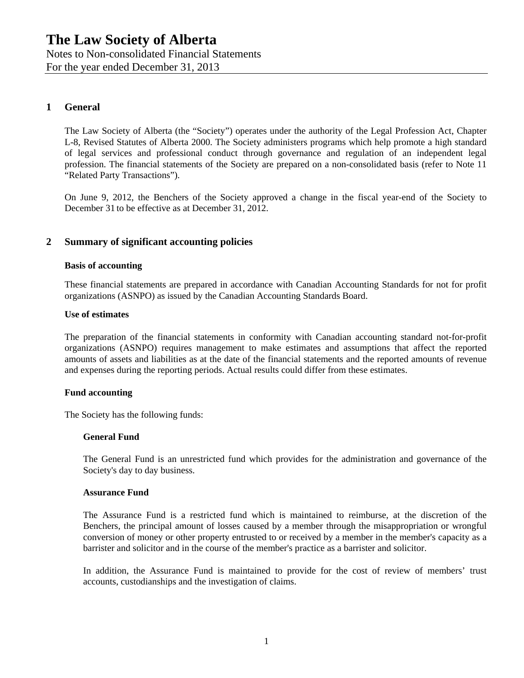Notes to Non-consolidated Financial Statements For the year ended December 31, 2013

# **1 General**

The Law Society of Alberta (the "Society") operates under the authority of the Legal Profession Act, Chapter L-8, Revised Statutes of Alberta 2000. The Society administers programs which help promote a high standard of legal services and professional conduct through governance and regulation of an independent legal profession. The financial statements of the Society are prepared on a non-consolidated basis (refer to Note 11 "Related Party Transactions").

On June 9, 2012, the Benchers of the Society approved a change in the fiscal year-end of the Society to December 31 to be effective as at December 31, 2012.

## **2 Summary of significant accounting policies**

#### **Basis of accounting**

These financial statements are prepared in accordance with Canadian Accounting Standards for not for profit organizations (ASNPO) as issued by the Canadian Accounting Standards Board.

#### **Use of estimates**

The preparation of the financial statements in conformity with Canadian accounting standard not-for-profit organizations (ASNPO) requires management to make estimates and assumptions that affect the reported amounts of assets and liabilities as at the date of the financial statements and the reported amounts of revenue and expenses during the reporting periods. Actual results could differ from these estimates.

#### **Fund accounting**

The Society has the following funds:

#### **General Fund**

The General Fund is an unrestricted fund which provides for the administration and governance of the Society's day to day business.

#### **Assurance Fund**

The Assurance Fund is a restricted fund which is maintained to reimburse, at the discretion of the Benchers, the principal amount of losses caused by a member through the misappropriation or wrongful conversion of money or other property entrusted to or received by a member in the member's capacity as a barrister and solicitor and in the course of the member's practice as a barrister and solicitor.

In addition, the Assurance Fund is maintained to provide for the cost of review of members' trust accounts, custodianships and the investigation of claims.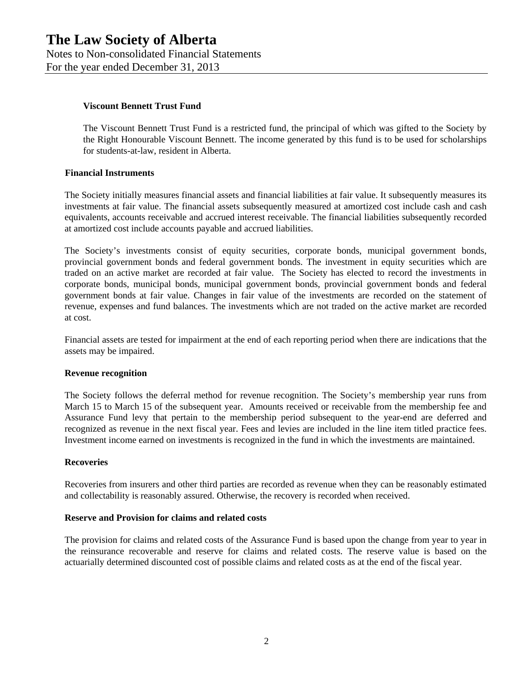#### **Viscount Bennett Trust Fund**

The Viscount Bennett Trust Fund is a restricted fund, the principal of which was gifted to the Society by the Right Honourable Viscount Bennett. The income generated by this fund is to be used for scholarships for students-at-law, resident in Alberta.

#### **Financial Instruments**

The Society initially measures financial assets and financial liabilities at fair value. It subsequently measures its investments at fair value. The financial assets subsequently measured at amortized cost include cash and cash equivalents, accounts receivable and accrued interest receivable. The financial liabilities subsequently recorded at amortized cost include accounts payable and accrued liabilities.

The Society's investments consist of equity securities, corporate bonds, municipal government bonds, provincial government bonds and federal government bonds. The investment in equity securities which are traded on an active market are recorded at fair value. The Society has elected to record the investments in corporate bonds, municipal bonds, municipal government bonds, provincial government bonds and federal government bonds at fair value. Changes in fair value of the investments are recorded on the statement of revenue, expenses and fund balances. The investments which are not traded on the active market are recorded at cost.

Financial assets are tested for impairment at the end of each reporting period when there are indications that the assets may be impaired.

#### **Revenue recognition**

The Society follows the deferral method for revenue recognition. The Society's membership year runs from March 15 to March 15 of the subsequent year. Amounts received or receivable from the membership fee and Assurance Fund levy that pertain to the membership period subsequent to the year-end are deferred and recognized as revenue in the next fiscal year. Fees and levies are included in the line item titled practice fees. Investment income earned on investments is recognized in the fund in which the investments are maintained.

#### **Recoveries**

Recoveries from insurers and other third parties are recorded as revenue when they can be reasonably estimated and collectability is reasonably assured. Otherwise, the recovery is recorded when received.

#### **Reserve and Provision for claims and related costs**

The provision for claims and related costs of the Assurance Fund is based upon the change from year to year in the reinsurance recoverable and reserve for claims and related costs. The reserve value is based on the actuarially determined discounted cost of possible claims and related costs as at the end of the fiscal year.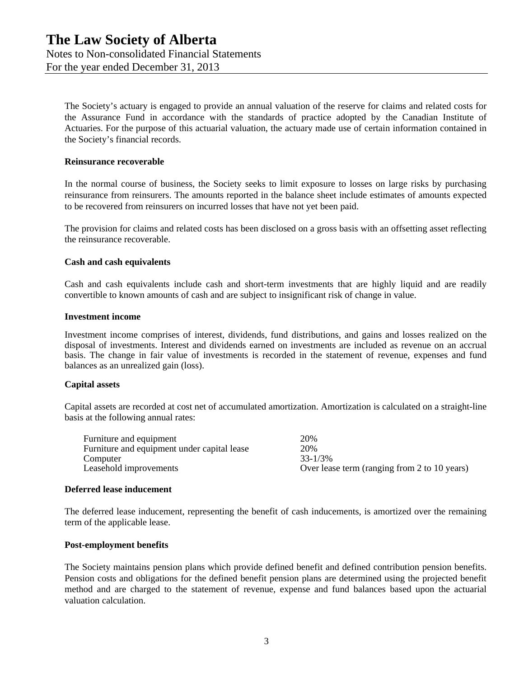The Society's actuary is engaged to provide an annual valuation of the reserve for claims and related costs for the Assurance Fund in accordance with the standards of practice adopted by the Canadian Institute of Actuaries. For the purpose of this actuarial valuation, the actuary made use of certain information contained in the Society's financial records.

#### **Reinsurance recoverable**

In the normal course of business, the Society seeks to limit exposure to losses on large risks by purchasing reinsurance from reinsurers. The amounts reported in the balance sheet include estimates of amounts expected to be recovered from reinsurers on incurred losses that have not yet been paid.

The provision for claims and related costs has been disclosed on a gross basis with an offsetting asset reflecting the reinsurance recoverable.

#### **Cash and cash equivalents**

Cash and cash equivalents include cash and short-term investments that are highly liquid and are readily convertible to known amounts of cash and are subject to insignificant risk of change in value.

#### **Investment income**

Investment income comprises of interest, dividends, fund distributions, and gains and losses realized on the disposal of investments. Interest and dividends earned on investments are included as revenue on an accrual basis. The change in fair value of investments is recorded in the statement of revenue, expenses and fund balances as an unrealized gain (loss).

#### **Capital assets**

Capital assets are recorded at cost net of accumulated amortization. Amortization is calculated on a straight-line basis at the following annual rates:

| Furniture and equipment                     | 20%                                          |
|---------------------------------------------|----------------------------------------------|
| Furniture and equipment under capital lease | 20%                                          |
| Computer                                    | $33 - 1/3\%$                                 |
| Leasehold improvements                      | Over lease term (ranging from 2 to 10 years) |

#### **Deferred lease inducement**

The deferred lease inducement, representing the benefit of cash inducements, is amortized over the remaining term of the applicable lease.

#### **Post-employment benefits**

The Society maintains pension plans which provide defined benefit and defined contribution pension benefits. Pension costs and obligations for the defined benefit pension plans are determined using the projected benefit method and are charged to the statement of revenue, expense and fund balances based upon the actuarial valuation calculation.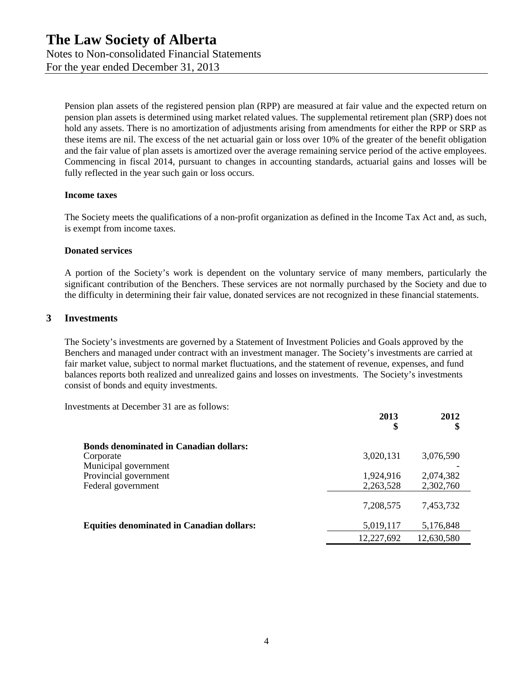Pension plan assets of the registered pension plan (RPP) are measured at fair value and the expected return on pension plan assets is determined using market related values. The supplemental retirement plan (SRP) does not hold any assets. There is no amortization of adjustments arising from amendments for either the RPP or SRP as these items are nil. The excess of the net actuarial gain or loss over 10% of the greater of the benefit obligation and the fair value of plan assets is amortized over the average remaining service period of the active employees. Commencing in fiscal 2014, pursuant to changes in accounting standards, actuarial gains and losses will be fully reflected in the year such gain or loss occurs.

#### **Income taxes**

The Society meets the qualifications of a non-profit organization as defined in the Income Tax Act and, as such, is exempt from income taxes.

#### **Donated services**

A portion of the Society's work is dependent on the voluntary service of many members, particularly the significant contribution of the Benchers. These services are not normally purchased by the Society and due to the difficulty in determining their fair value, donated services are not recognized in these financial statements.

#### **3 Investments**

The Society's investments are governed by a Statement of Investment Policies and Goals approved by the Benchers and managed under contract with an investment manager. The Society's investments are carried at fair market value, subject to normal market fluctuations, and the statement of revenue, expenses, and fund balances reports both realized and unrealized gains and losses on investments. The Society's investments consist of bonds and equity investments.

Investments at December 31 are as follows:

|                                                  | 2013<br>\$ | 2012<br>\$ |
|--------------------------------------------------|------------|------------|
| <b>Bonds denominated in Canadian dollars:</b>    |            |            |
| Corporate                                        | 3,020,131  | 3,076,590  |
| Municipal government                             |            |            |
| Provincial government                            | 1,924,916  | 2,074,382  |
| Federal government                               | 2,263,528  | 2,302,760  |
|                                                  | 7,208,575  | 7,453,732  |
| <b>Equities denominated in Canadian dollars:</b> | 5,019,117  | 5,176,848  |
|                                                  | 12,227,692 | 12,630,580 |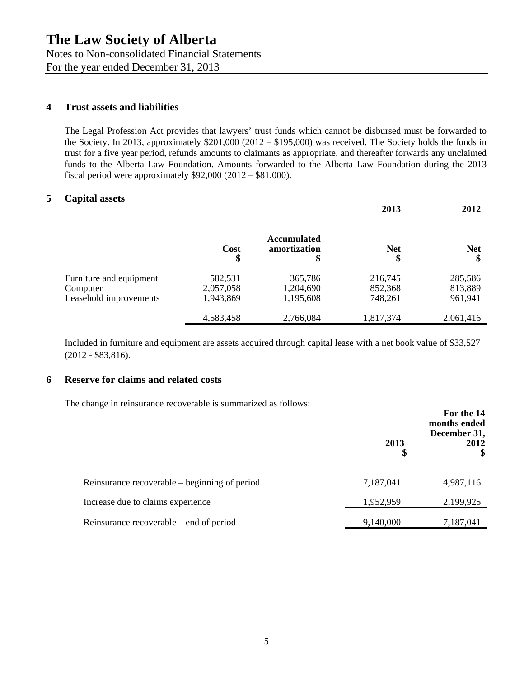Notes to Non-consolidated Financial Statements For the year ended December 31, 2013

## **4 Trust assets and liabilities**

The Legal Profession Act provides that lawyers' trust funds which cannot be disbursed must be forwarded to the Society. In 2013, approximately \$201,000 (2012 – \$195,000) was received. The Society holds the funds in trust for a five year period, refunds amounts to claimants as appropriate, and thereafter forwards any unclaimed funds to the Alberta Law Foundation. Amounts forwarded to the Alberta Law Foundation during the 2013 fiscal period were approximately \$92,000 (2012 – \$81,000).

# **5 Capital assets**

|                         |            |                                          | 2013             | 2012       |
|-------------------------|------------|------------------------------------------|------------------|------------|
|                         | Cost<br>\$ | <b>Accumulated</b><br>amortization<br>\$ | <b>Net</b><br>\$ | <b>Net</b> |
| Furniture and equipment | 582,531    | 365,786                                  | 216,745          | 285,586    |
| Computer                | 2,057,058  | 1,204,690                                | 852,368          | 813,889    |
| Leasehold improvements  | 1,943,869  | 1,195,608                                | 748,261          | 961,941    |
|                         | 4,583,458  | 2,766,084                                | 1,817,374        | 2,061,416  |

Included in furniture and equipment are assets acquired through capital lease with a net book value of \$33,527 (2012 - \$83,816).

## **6 Reserve for claims and related costs**

The change in reinsurance recoverable is summarized as follows:

|                                               | 2013<br>\$ | For the 14<br>months ended<br>December 31,<br>2012 |
|-----------------------------------------------|------------|----------------------------------------------------|
| Reinsurance recoverable – beginning of period | 7,187,041  | 4,987,116                                          |
| Increase due to claims experience             | 1,952,959  | 2,199,925                                          |
| Reinsurance recoverable – end of period       | 9,140,000  | 7,187,041                                          |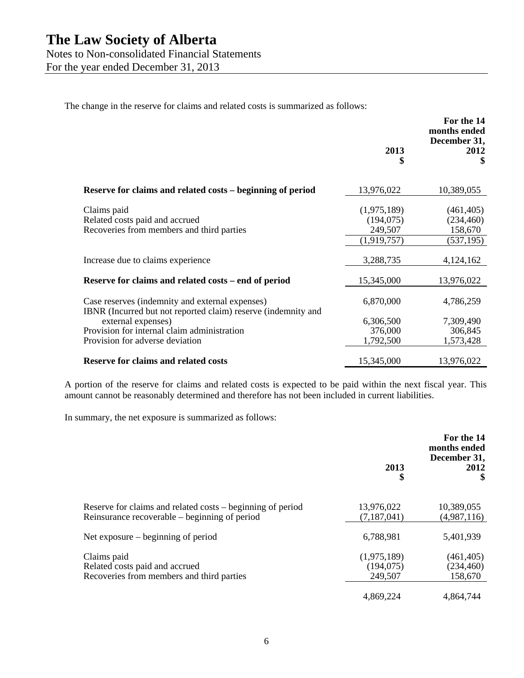For the year ended December 31, 2013

The change in the reserve for claims and related costs is summarized as follows:

|                                                                                                                  | 2013<br>\$                                          | For the 14<br>months ended<br>December 31,<br>2012<br>S |
|------------------------------------------------------------------------------------------------------------------|-----------------------------------------------------|---------------------------------------------------------|
| Reserve for claims and related costs – beginning of period                                                       | 13,976,022                                          | 10,389,055                                              |
| Claims paid<br>Related costs paid and accrued<br>Recoveries from members and third parties                       | (1,975,189)<br>(194, 075)<br>249,507<br>(1,919,757) | (461, 405)<br>(234, 460)<br>158,670<br>(537, 195)       |
| Increase due to claims experience                                                                                | 3,288,735                                           | 4,124,162                                               |
| Reserve for claims and related costs – end of period                                                             | 15,345,000                                          | 13,976,022                                              |
| Case reserves (indemnity and external expenses)<br>IBNR (Incurred but not reported claim) reserve (indemnity and | 6,870,000                                           | 4,786,259                                               |
| external expenses)<br>Provision for internal claim administration                                                | 6,306,500                                           | 7,309,490                                               |
| Provision for adverse deviation                                                                                  | 376,000<br>1,792,500                                | 306,845<br>1,573,428                                    |
| <b>Reserve for claims and related costs</b>                                                                      | 15,345,000                                          | 13,976,022                                              |

A portion of the reserve for claims and related costs is expected to be paid within the next fiscal year. This amount cannot be reasonably determined and therefore has not been included in current liabilities.

In summary, the net exposure is summarized as follows:

|                                                                                                             | 2013<br>\$                           | For the 14<br>months ended<br>December 31,<br>2012<br>S |
|-------------------------------------------------------------------------------------------------------------|--------------------------------------|---------------------------------------------------------|
| Reserve for claims and related costs – beginning of period<br>Reinsurance recoverable – beginning of period | 13,976,022<br>(7,187,041)            | 10,389,055<br>(4,987,116)                               |
| Net exposure $-$ beginning of period                                                                        | 6,788,981                            | 5,401,939                                               |
| Claims paid<br>Related costs paid and accrued<br>Recoveries from members and third parties                  | (1,975,189)<br>(194, 075)<br>249,507 | (461, 405)<br>(234, 460)<br>158,670                     |
|                                                                                                             | 4,869,224                            | 4,864,744                                               |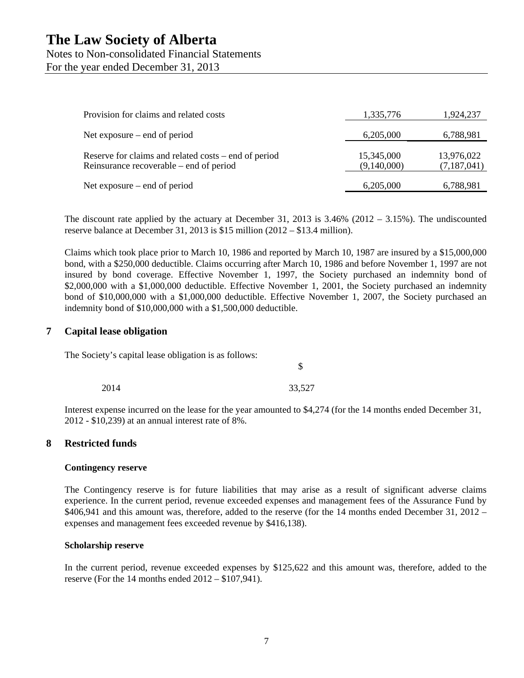Notes to Non-consolidated Financial Statements For the year ended December 31, 2013

| Provision for claims and related costs                                                          | 1,335,776                 | 1,924,237                 |
|-------------------------------------------------------------------------------------------------|---------------------------|---------------------------|
| Net exposure $-$ end of period                                                                  | 6,205,000                 | 6,788,981                 |
| Reserve for claims and related costs – end of period<br>Reinsurance recoverable – end of period | 15,345,000<br>(9,140,000) | 13,976,022<br>(7,187,041) |
| Net exposure $-$ end of period                                                                  | 6,205,000                 | 6,788,981                 |

The discount rate applied by the actuary at December 31, 2013 is  $3.46\%$  (2012 – 3.15%). The undiscounted reserve balance at December 31, 2013 is \$15 million (2012 – \$13.4 million).

Claims which took place prior to March 10, 1986 and reported by March 10, 1987 are insured by a \$15,000,000 bond, with a \$250,000 deductible. Claims occurring after March 10, 1986 and before November 1, 1997 are not insured by bond coverage. Effective November 1, 1997, the Society purchased an indemnity bond of \$2,000,000 with a \$1,000,000 deductible. Effective November 1, 2001, the Society purchased an indemnity bond of \$10,000,000 with a \$1,000,000 deductible. Effective November 1, 2007, the Society purchased an indemnity bond of \$10,000,000 with a \$1,500,000 deductible.

#### **7 Capital lease obligation**

The Society's capital lease obligation is as follows:

 $\mathcal{S}$ 

2014 33,527

Interest expense incurred on the lease for the year amounted to \$4,274 (for the 14 months ended December 31, 2012 - \$10,239) at an annual interest rate of 8%.

#### **8 Restricted funds**

#### **Contingency reserve**

The Contingency reserve is for future liabilities that may arise as a result of significant adverse claims experience. In the current period, revenue exceeded expenses and management fees of the Assurance Fund by \$406,941 and this amount was, therefore, added to the reserve (for the 14 months ended December 31, 2012 – expenses and management fees exceeded revenue by \$416,138).

#### **Scholarship reserve**

In the current period, revenue exceeded expenses by \$125,622 and this amount was, therefore, added to the reserve (For the 14 months ended 2012 – \$107,941).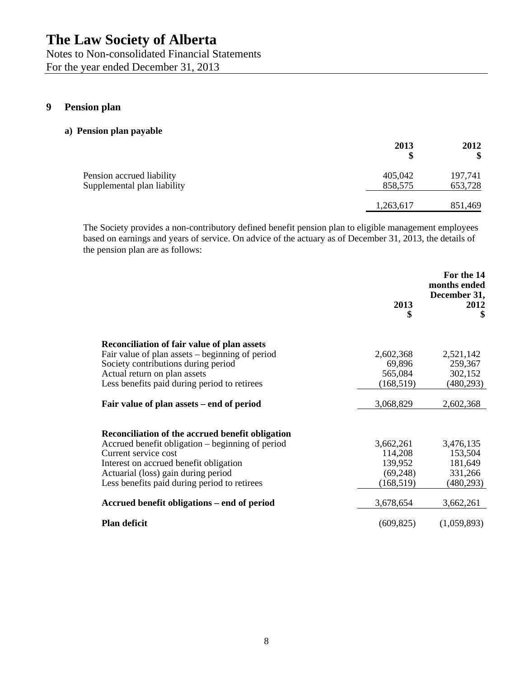Notes to Non-consolidated Financial Statements For the year ended December 31, 2013

# **9 Pension plan**

#### **a) Pension plan payable**

|                                                          | 2013<br>S          | 2012<br>\$         |
|----------------------------------------------------------|--------------------|--------------------|
| Pension accrued liability<br>Supplemental plan liability | 405,042<br>858,575 | 197,741<br>653,728 |
|                                                          | 1,263,617          |                    |
|                                                          |                    | 851,469            |

The Society provides a non-contributory defined benefit pension plan to eligible management employees based on earnings and years of service. On advice of the actuary as of December 31, 2013, the details of the pension plan are as follows:

|                                                  | 2013<br>\$ | For the 14<br>months ended<br>December 31,<br>2012<br>\$ |
|--------------------------------------------------|------------|----------------------------------------------------------|
| Reconciliation of fair value of plan assets      |            |                                                          |
| Fair value of plan assets – beginning of period  | 2,602,368  | 2,521,142                                                |
| Society contributions during period              | 69,896     | 259,367                                                  |
| Actual return on plan assets                     | 565,084    | 302,152                                                  |
| Less benefits paid during period to retirees     | (168, 519) | (480, 293)                                               |
| Fair value of plan assets – end of period        | 3,068,829  | 2,602,368                                                |
| Reconciliation of the accrued benefit obligation |            |                                                          |
| Accrued benefit obligation – beginning of period | 3,662,261  | 3,476,135                                                |
| Current service cost                             | 114,208    | 153,504                                                  |
| Interest on accrued benefit obligation           | 139,952    | 181,649                                                  |
| Actuarial (loss) gain during period              | (69,248)   | 331,266                                                  |
| Less benefits paid during period to retirees     | (168, 519) | (480, 293)                                               |
| Accrued benefit obligations – end of period      | 3,678,654  | 3,662,261                                                |
| <b>Plan deficit</b>                              | (609, 825) | (1,059,893)                                              |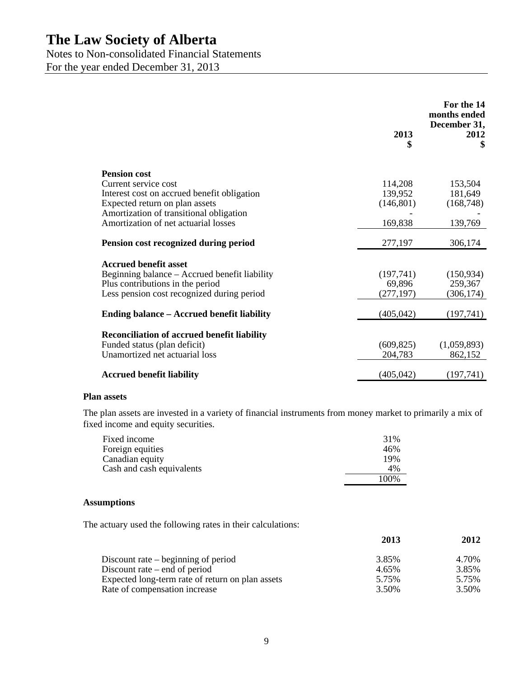Notes to Non-consolidated Financial Statements

For the year ended December 31, 2013

|                                                    | 2013<br>\$ | For the 14<br>months ended<br>December 31,<br>2012<br>\$ |
|----------------------------------------------------|------------|----------------------------------------------------------|
| <b>Pension cost</b>                                |            |                                                          |
| Current service cost                               | 114,208    | 153,504                                                  |
| Interest cost on accrued benefit obligation        | 139,952    | 181,649                                                  |
| Expected return on plan assets                     | (146, 801) | (168, 748)                                               |
| Amortization of transitional obligation            |            |                                                          |
| Amortization of net actuarial losses               | 169,838    | 139,769                                                  |
| Pension cost recognized during period              | 277,197    | 306,174                                                  |
| <b>Accrued benefit asset</b>                       |            |                                                          |
| Beginning balance – Accrued benefit liability      | (197,741)  | (150, 934)                                               |
| Plus contributions in the period                   | 69,896     | 259,367                                                  |
| Less pension cost recognized during period         | (277, 197) | (306, 174)                                               |
| <b>Ending balance – Accrued benefit liability</b>  | (405, 042) | (197,741)                                                |
|                                                    |            |                                                          |
| <b>Reconciliation of accrued benefit liability</b> |            |                                                          |
| Funded status (plan deficit)                       | (609, 825) | (1,059,893)                                              |
| Unamortized net actuarial loss                     | 204,783    | 862,152                                                  |
|                                                    |            |                                                          |
| <b>Accrued benefit liability</b>                   | (405, 042) | (197, 741)                                               |

#### **Plan assets**

The plan assets are invested in a variety of financial instruments from money market to primarily a mix of fixed income and equity securities.

| Fixed income              | 31%   |
|---------------------------|-------|
| Foreign equities          | 46%   |
| Canadian equity           | 19%   |
| Cash and cash equivalents | 4%    |
|                           | 100\% |

#### **Assumptions**

The actuary used the following rates in their calculations:

|                                                                                   | 2013           | 2012           |
|-----------------------------------------------------------------------------------|----------------|----------------|
| Discount rate $-$ beginning of period                                             | 3.85%          | 4.70%          |
| Discount rate $-$ end of period                                                   | 4.65%          | 3.85%          |
| Expected long-term rate of return on plan assets<br>Rate of compensation increase | 5.75%<br>3.50% | 5.75%<br>3.50% |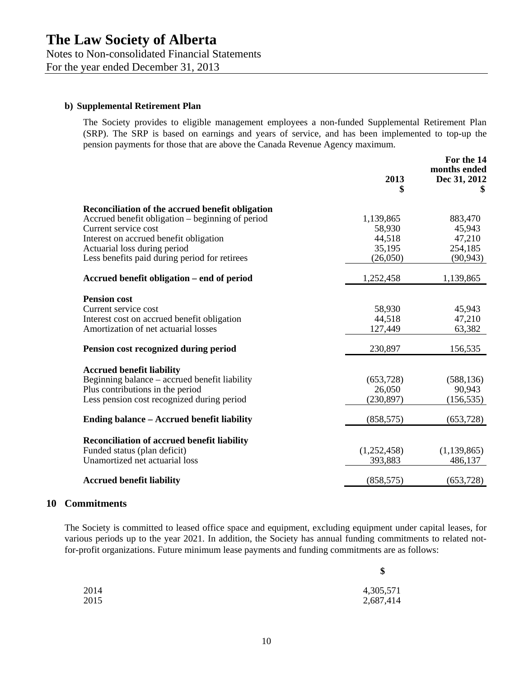For the year ended December 31, 2013

#### **b) Supplemental Retirement Plan**

The Society provides to eligible management employees a non-funded Supplemental Retirement Plan (SRP). The SRP is based on earnings and years of service, and has been implemented to top-up the pension payments for those that are above the Canada Revenue Agency maximum.

|                                                                | 2013<br>\$             | For the 14<br>months ended<br>Dec 31, 2012 |
|----------------------------------------------------------------|------------------------|--------------------------------------------|
| Reconciliation of the accrued benefit obligation               |                        |                                            |
| Accrued benefit obligation – beginning of period               | 1,139,865              | 883,470                                    |
| Current service cost                                           | 58,930                 | 45,943                                     |
| Interest on accrued benefit obligation                         | 44,518                 | 47,210                                     |
| Actuarial loss during period                                   | 35,195                 | 254,185                                    |
| Less benefits paid during period for retirees                  | (26,050)               | (90, 943)                                  |
| Accrued benefit obligation – end of period                     | 1,252,458              | 1,139,865                                  |
| <b>Pension cost</b>                                            |                        |                                            |
| Current service cost                                           | 58,930                 | 45,943                                     |
| Interest cost on accrued benefit obligation                    | 44,518                 | 47,210                                     |
| Amortization of net actuarial losses                           | 127,449                | 63,382                                     |
| Pension cost recognized during period                          | 230,897                | 156,535                                    |
| <b>Accrued benefit liability</b>                               |                        |                                            |
| Beginning balance – accrued benefit liability                  | (653, 728)             | (588, 136)                                 |
| Plus contributions in the period                               | 26,050                 | 90,943                                     |
| Less pension cost recognized during period                     | (230, 897)             | (156, 535)                                 |
| <b>Ending balance – Accrued benefit liability</b>              | (858, 575)             | (653, 728)                                 |
|                                                                |                        |                                            |
| <b>Reconciliation of accrued benefit liability</b>             |                        |                                            |
| Funded status (plan deficit)<br>Unamortized net actuarial loss | (1,252,458)<br>393,883 | (1, 139, 865)<br>486,137                   |
|                                                                |                        |                                            |
| <b>Accrued benefit liability</b>                               | (858, 575)             | (653, 728)                                 |
|                                                                |                        |                                            |

## **10 Commitments**

The Society is committed to leased office space and equipment, excluding equipment under capital leases, for various periods up to the year 2021. In addition, the Society has annual funding commitments to related notfor-profit organizations. Future minimum lease payments and funding commitments are as follows:

 $\mathbf{r}$ 

|      | D         |
|------|-----------|
| 2014 | 4,305,571 |
| 2015 | 2,687,414 |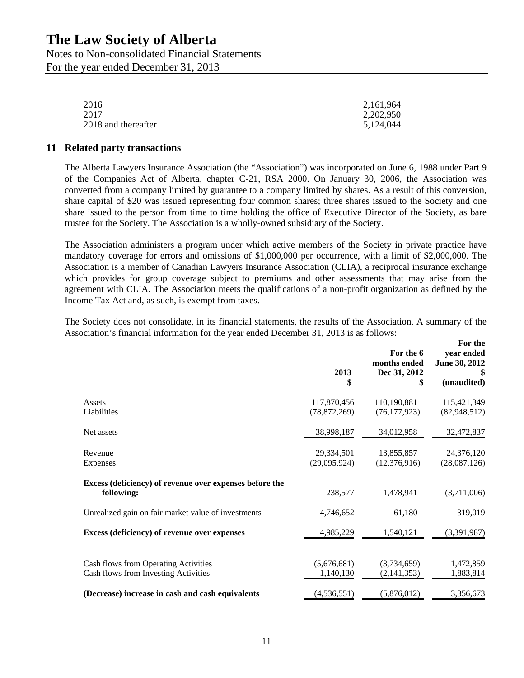Notes to Non-consolidated Financial Statements For the year ended December 31, 2013

| 2016                | 2,161,964 |
|---------------------|-----------|
| 2017                | 2,202,950 |
| 2018 and thereafter | 5,124,044 |

#### **11 Related party transactions**

The Alberta Lawyers Insurance Association (the "Association") was incorporated on June 6, 1988 under Part 9 of the Companies Act of Alberta, chapter C-21, RSA 2000. On January 30, 2006, the Association was converted from a company limited by guarantee to a company limited by shares. As a result of this conversion, share capital of \$20 was issued representing four common shares; three shares issued to the Society and one share issued to the person from time to time holding the office of Executive Director of the Society, as bare trustee for the Society. The Association is a wholly-owned subsidiary of the Society.

The Association administers a program under which active members of the Society in private practice have mandatory coverage for errors and omissions of \$1,000,000 per occurrence, with a limit of \$2,000,000. The Association is a member of Canadian Lawyers Insurance Association (CLIA), a reciprocal insurance exchange which provides for group coverage subject to premiums and other assessments that may arise from the agreement with CLIA. The Association meets the qualifications of a non-profit organization as defined by the Income Tax Act and, as such, is exempt from taxes.

The Society does not consolidate, in its financial statements, the results of the Association. A summary of the Association's financial information for the year ended December 31, 2013 is as follows:

|                                                                              | 2013<br>\$               | For the 6<br>months ended<br>Dec 31, 2012<br>\$ | For the<br>year ended<br>June 30, 2012<br>\$<br>(unaudited) |
|------------------------------------------------------------------------------|--------------------------|-------------------------------------------------|-------------------------------------------------------------|
| Assets                                                                       | 117,870,456              | 110,190,881                                     | 115,421,349                                                 |
| Liabilities                                                                  | (78, 872, 269)           | (76, 177, 923)                                  | (82, 948, 512)                                              |
| Net assets                                                                   | 38,998,187               | 34,012,958                                      | 32,472,837                                                  |
| Revenue                                                                      | 29,334,501               | 13,855,857                                      | 24,376,120                                                  |
| Expenses                                                                     | (29,095,924)             | (12, 376, 916)                                  | (28,087,126)                                                |
| Excess (deficiency) of revenue over expenses before the<br>following:        | 238,577                  | 1,478,941                                       | (3,711,006)                                                 |
| Unrealized gain on fair market value of investments                          | 4,746,652                | 61,180                                          | 319,019                                                     |
| Excess (deficiency) of revenue over expenses                                 | 4,985,229                | 1,540,121                                       | (3,391,987)                                                 |
| Cash flows from Operating Activities<br>Cash flows from Investing Activities | (5,676,681)<br>1,140,130 | (3,734,659)<br>(2, 141, 353)                    | 1,472,859<br>1,883,814                                      |
| (Decrease) increase in cash and cash equivalents                             | (4, 536, 551)            | (5,876,012)                                     | 3,356,673                                                   |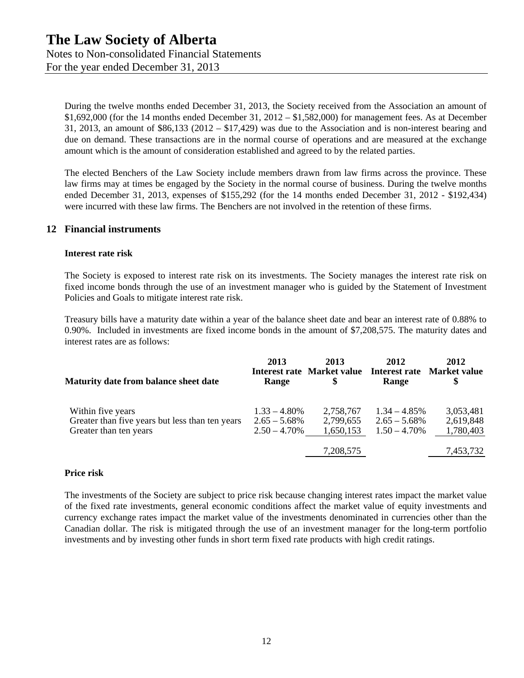For the year ended December 31, 2013

During the twelve months ended December 31, 2013, the Society received from the Association an amount of \$1,692,000 (for the 14 months ended December 31, 2012 – \$1,582,000) for management fees. As at December 31, 2013, an amount of  $$86,133$  (2012 –  $$17,429$ ) was due to the Association and is non-interest bearing and due on demand. These transactions are in the normal course of operations and are measured at the exchange amount which is the amount of consideration established and agreed to by the related parties.

The elected Benchers of the Law Society include members drawn from law firms across the province. These law firms may at times be engaged by the Society in the normal course of business. During the twelve months ended December 31, 2013, expenses of \$155,292 (for the 14 months ended December 31, 2012 - \$192,434) were incurred with these law firms. The Benchers are not involved in the retention of these firms.

## **12 Financial instruments**

#### **Interest rate risk**

The Society is exposed to interest rate risk on its investments. The Society manages the interest rate risk on fixed income bonds through the use of an investment manager who is guided by the Statement of Investment Policies and Goals to mitigate interest rate risk.

Treasury bills have a maturity date within a year of the balance sheet date and bear an interest rate of 0.88% to 0.90%. Included in investments are fixed income bonds in the amount of \$7,208,575. The maturity dates and interest rates are as follows:

| Maturity date from balance sheet date                                                          | 2013<br>Range                                         | 2013<br><b>Interest rate Market value</b> | 2012<br>Range                                         | 2012<br><b>Interest rate Market value</b><br>\$ |
|------------------------------------------------------------------------------------------------|-------------------------------------------------------|-------------------------------------------|-------------------------------------------------------|-------------------------------------------------|
| Within five years<br>Greater than five years but less than ten years<br>Greater than ten years | $1.33 - 4.80\%$<br>$2.65 - 5.68\%$<br>$2.50 - 4.70\%$ | 2,758,767<br>2,799,655<br>1,650,153       | $1.34 - 4.85\%$<br>$2.65 - 5.68\%$<br>$1.50 - 4.70\%$ | 3,053,481<br>2,619,848<br>1,780,403             |
|                                                                                                |                                                       | 7,208,575                                 |                                                       | 7,453,732                                       |

#### **Price risk**

The investments of the Society are subject to price risk because changing interest rates impact the market value of the fixed rate investments, general economic conditions affect the market value of equity investments and currency exchange rates impact the market value of the investments denominated in currencies other than the Canadian dollar. The risk is mitigated through the use of an investment manager for the long-term portfolio investments and by investing other funds in short term fixed rate products with high credit ratings.